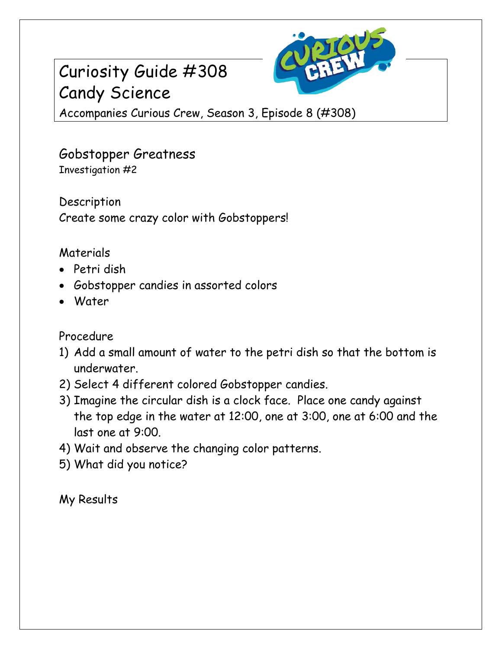## Curiosity Guide #308 Candy Science



Accompanies Curious Crew, Season 3, Episode 8 (#308)

Gobstopper Greatness Investigation #2

Description Create some crazy color with Gobstoppers!

## Materials

- Petri dish
- Gobstopper candies in assorted colors
- Water

## Procedure

- 1) Add a small amount of water to the petri dish so that the bottom is underwater.
- 2) Select 4 different colored Gobstopper candies.
- 3) Imagine the circular dish is a clock face. Place one candy against the top edge in the water at 12:00, one at 3:00, one at 6:00 and the last one at 9:00.
- 4) Wait and observe the changing color patterns.
- 5) What did you notice?

My Results